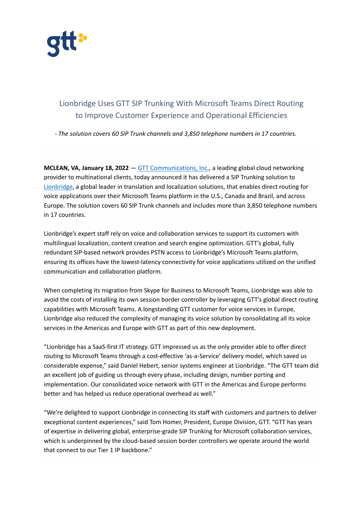

## Lionbridge Uses GTT SIP Trunking With Microsoft Teams Direct Routing to Improve Customer Experience and Operational Efficiencies

*- The solution covers 60 SIP Trunk channels and 3,850 telephone numbers in 17 countries.*

**MCLEAN, VA, January 18, 2022** — [GTT Communications, Inc.,](https://www.gtt.net/) a leading global cloud networking provider to multinational clients, today announced it has delivered a SIP Trunking solution to [Lionbridge,](https://www.lionbridge.com/) a global leader in translation and localization solutions, that enables direct routing for voice applications over their Microsoft Teams platform in the U.S., Canada and Brazil, and across Europe. The solution covers 60 SIP Trunk channels and includes more than 3,850 telephone numbers in 17 countries.

Lionbridge's expert staff rely on voice and collaboration services to support its customers with multilingual localization, content creation and search engine optimization. GTT's global, fully redundant SIP-based network provides PSTN access to Lionbridge's Microsoft Teams platform, ensuring its offices have the lowest-latency connectivity for voice applications utilized on the unified communication and collaboration platform.

When completing its migration from Skype for Business to Microsoft Teams, Lionbridge was able to avoid the costs of installing its own session border controller by leveraging GTT's global direct routing capabilities with Microsoft Teams. A longstanding GTT customer for voice services in Europe, Lionbridge also reduced the complexity of managing its voice solution by consolidating all its voice services in the Americas and Europe with GTT as part of this new deployment.

"Lionbridge has a SaaS-first IT strategy. GTT impressed us as the only provider able to offer direct routing to Microsoft Teams through a cost-effective 'as-a-Service' delivery model, which saved us considerable expense," said Daniel Hebert, senior systems engineer at Lionbridge. "The GTT team did an excellent job of guiding us through every phase, including design, number porting and implementation. Our consolidated voice network with GTT in the Americas and Europe performs better and has helped us reduce operational overhead as well."

"We're delighted to support Lionbridge in connecting its staff with customers and partners to deliver exceptional content experiences," said Tom Homer, President, Europe Division, GTT. "GTT has years of expertise in delivering global, enterprise-grade SIP Trunking for Microsoft collaboration services, which is underpinned by the cloud-based session border controllers we operate around the world that connect to our Tier 1 IP backbone."